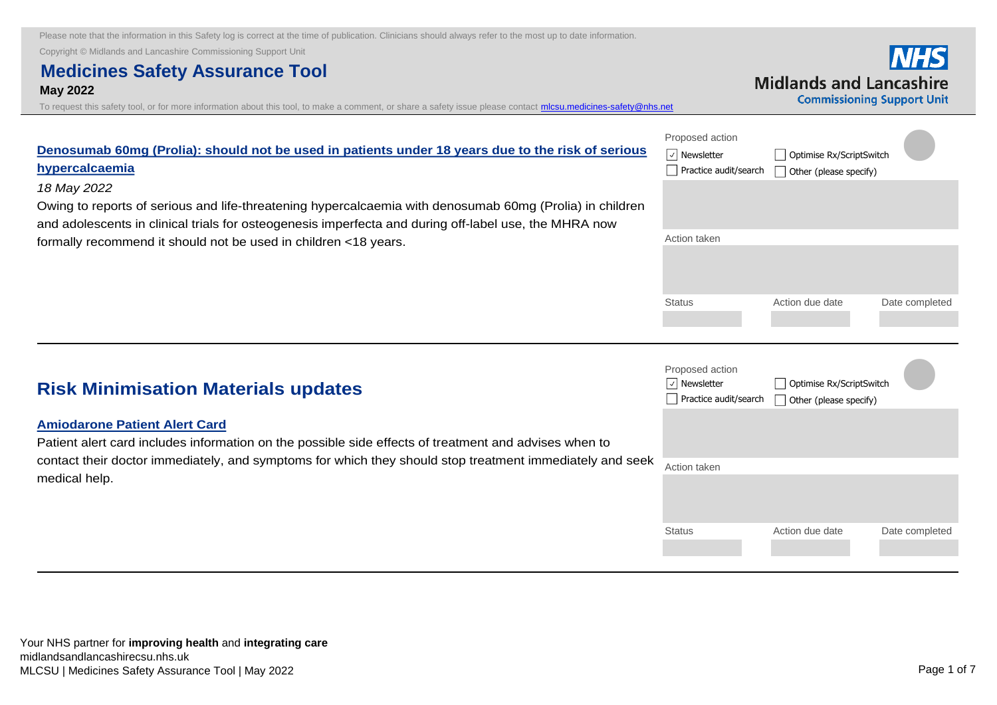Copyright © Midlands and Lancashire Commissioning Support Unit

# **Medicines Safety Assurance Tool May 2022**

[To request this safety tool, or for more information about this tool, to make a comment, or share a safety issue please contact mlcsu.medicines-safety@nhs.net](mailto:mlcsu.medicines-safety@nhs.net)

|                                  | <b>NHS</b> |
|----------------------------------|------------|
| <b>Midlands and Lancashire</b>   |            |
| <b>Commissioning Support Uni</b> |            |

| Denosumab 60mg (Prolia): should not be used in patients under 18 years due to the risk of serious<br>hypercalcaemia | Proposed action<br>$\sqrt{ }$ Newsletter<br>Practice audit/search | Optimise Rx/ScriptSwitch<br>Other (please specify) |                |
|---------------------------------------------------------------------------------------------------------------------|-------------------------------------------------------------------|----------------------------------------------------|----------------|
| 18 May 2022                                                                                                         |                                                                   |                                                    |                |
| Owing to reports of serious and life-threatening hypercalcaemia with denosumab 60mg (Prolia) in children            |                                                                   |                                                    |                |
| and adolescents in clinical trials for osteogenesis imperfecta and during off-label use, the MHRA now               |                                                                   |                                                    |                |
| formally recommend it should not be used in children <18 years.                                                     | Action taken                                                      |                                                    |                |
|                                                                                                                     |                                                                   |                                                    |                |
|                                                                                                                     | <b>Status</b>                                                     | Action due date                                    | Date completed |
|                                                                                                                     |                                                                   |                                                    |                |

| <b>Risk Minimisation Materials updates</b>                                                                                                                                                                                                                | Proposed action<br>$ \vee $ Newsletter<br>Practice audit/search | Optimise Rx/ScriptSwitch<br>Other (please specify) |                |
|-----------------------------------------------------------------------------------------------------------------------------------------------------------------------------------------------------------------------------------------------------------|-----------------------------------------------------------------|----------------------------------------------------|----------------|
| <b>Amiodarone Patient Alert Card</b><br>Patient alert card includes information on the possible side effects of treatment and advises when to<br>contact their doctor immediately, and symptoms for which they should stop treatment immediately and seek |                                                                 |                                                    |                |
| medical help.                                                                                                                                                                                                                                             | Action taken                                                    |                                                    |                |
|                                                                                                                                                                                                                                                           | <b>Status</b>                                                   | Action due date                                    | Date completed |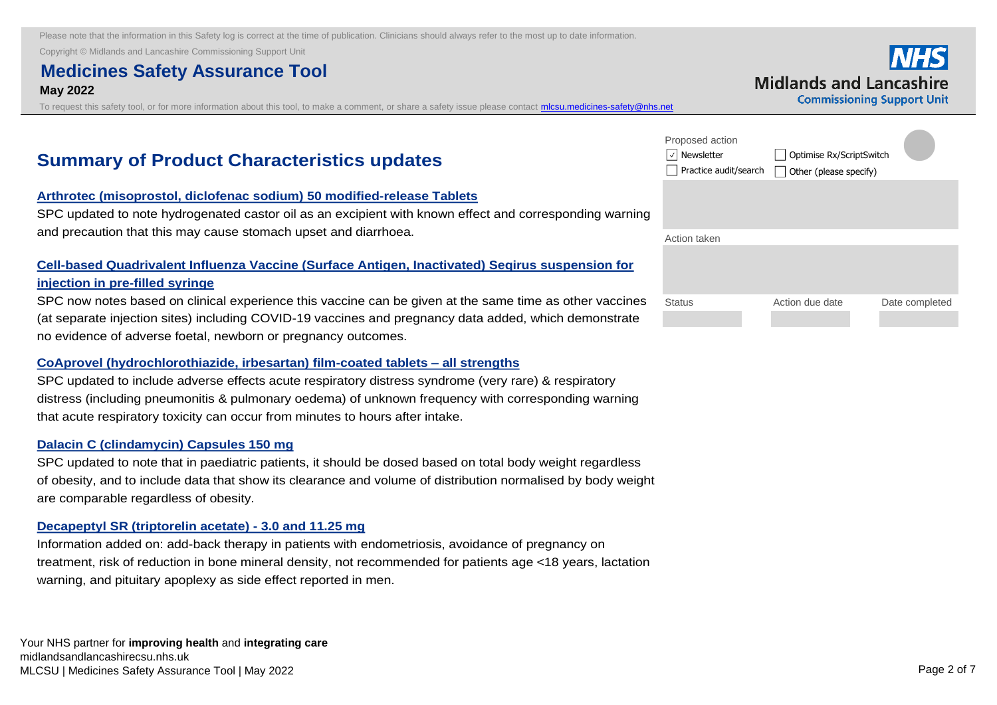Copyright © Midlands and Lancashire Commissioning Support Unit

# **Medicines Safety Assurance Tool May 2022**

To request this safety tool, or for more information about this tool, to make a comment, or share a safety issue please contact *micsu.medicines-safety@nhs.net* 

| <b>Midlands and Lancashire</b><br><b>Commissioning Support Unit</b> |
|---------------------------------------------------------------------|
|                                                                     |

# **Summary of Product Characteristics updates**

#### **Arthrotec (misoprostol, diclofenac sodium) 50 modified-release Tablets**

[SPC updated to note hydrogenated castor oil as an excipient with known effect and corresponding warning](https://nice.us8.list-manage.com/track/click?u=7864f766b10b8edd18f19aa56&id=396b58ef6d&e=bb4189a0f3)  and precaution that this may cause stomach upset and diarrhoea.

## **Cell-based Quadrivalent Influenza Vaccine (Surface Antigen, Inactivated) Seqirus suspension for injection in pre-filled syringe**

[SPC now notes based on clinical experience this vaccine can be given at the same time as other vaccines](https://nice.us8.list-manage.com/track/click?u=7864f766b10b8edd18f19aa56&id=4e9693bb68&e=bb4189a0f3)  (at separate injection sites) including COVID-19 vaccines and pregnancy data added, which demonstrate no evidence of adverse foetal, newborn or pregnancy outcomes.

#### **CoAprovel (hydrochlorothiazide, irbesartan) film-coated tablets – all strengths**

SPC updated to include adverse effects acute respiratory distress syndrome (very rare) & respiratory [distress \(including pneumonitis & pulmonary oedema\) of unknown frequency with corresponding warning](https://nice.us8.list-manage.com/track/click?u=7864f766b10b8edd18f19aa56&id=167766ef00&e=bb4189a0f3)  that acute respiratory toxicity can occur from minutes to hours after intake.

#### **Dalacin C (clindamycin) Capsules 150 mg**

SPC updated to note that in paediatric patients, it should be dosed based on total body weight regardless [of obesity, and to include data that show its clearance and volume of distribution normalised by body weight](https://nice.us8.list-manage.com/track/click?u=7864f766b10b8edd18f19aa56&id=912177c2d5&e=bb4189a0f3)  are comparable regardless of obesity.

#### **Decapeptyl SR (triptorelin acetate) - 3.0 and 11.25 mg**

Information added on: add-back therapy in patients with endometriosis, avoidance of pregnancy on [treatment, risk of reduction in bone mineral density, not recommended for patients age <18 years, lactation](https://nice.us8.list-manage.com/track/click?u=7864f766b10b8edd18f19aa56&id=1892874ebf&e=bb4189a0f3)  warning, and pituitary apoplexy as side effect reported in men.

| Proposed action<br>Newsletter<br>Practice audit/search | Optimise Rx/ScriptSwitch<br>Other (please specify) |                |
|--------------------------------------------------------|----------------------------------------------------|----------------|
|                                                        |                                                    |                |
| Action taken                                           |                                                    |                |
|                                                        |                                                    |                |
| <b>Status</b>                                          | Action due date                                    | Date completed |
|                                                        |                                                    |                |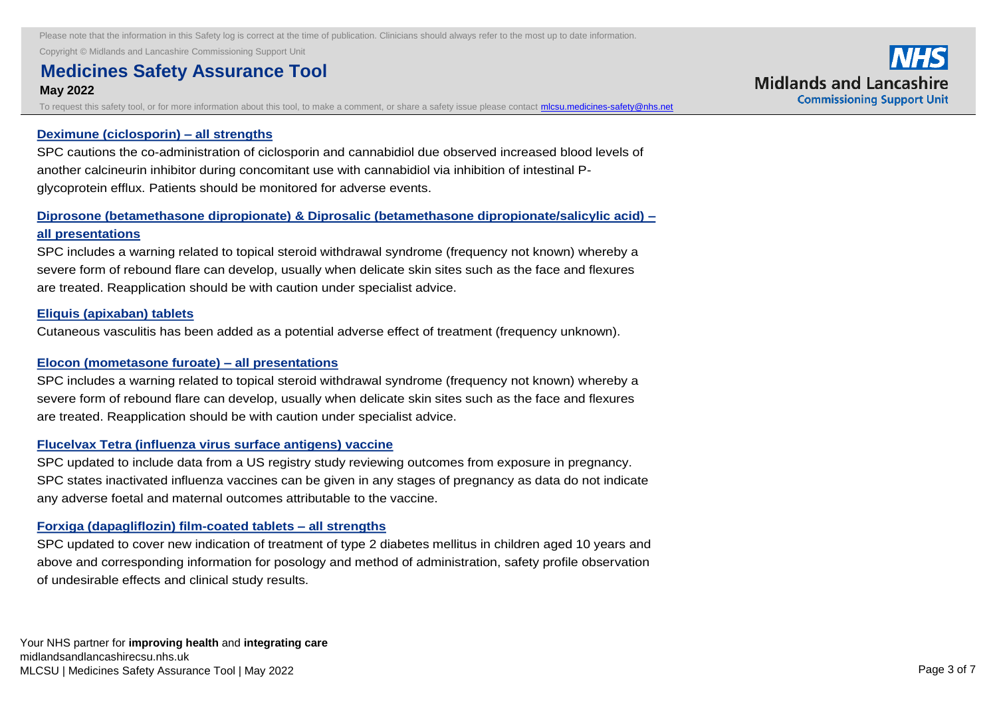Copyright © Midlands and Lancashire Commissioning Support Unit

#### **Medicines Safety Assurance Tool <b>Construction added on: add-back therapy in patients with endometriosis, and pre May 2022**  $t$ reatment, risk of reduction in bone mineral density, not recommended for patients age  $t$  and  $t$  years, lactation in bone mineral density,  $t$

To request this safety tool, or for more information about this tool, to make a comment, or share a safety issue please contact *micsu.medicines-safety@nhs.net* 

#### **Deximune (ciclosporin) – all strengths**

[SPC cautions the co-administration of ciclosporin and cannabidiol due observed increased blood levels of](https://nice.us8.list-manage.com/track/click?u=7864f766b10b8edd18f19aa56&id=d9124f49af&e=bb4189a0f3)  another calcineurin inhibitor during concomitant use with cannabidiol via inhibition of intestinal Pglycoprotein efflux. Patients should be monitored for adverse events.

## **[Diprosone \(betamethasone dipropionate\) & Diprosalic \(betamethasone dipropionate/salicylic acid\) –](https://nice.us8.list-manage.com/track/click?u=7864f766b10b8edd18f19aa56&id=81226e26ed&e=bb4189a0f3) all presentations**

SPC includes a warning related to topical steroid withdrawal syndrome (frequency not known) whereby a severe form of rebound flare can develop, usually when delicate skin sites such as the face and flexures are treated. Reapplication should be with caution under specialist advice.

#### **Eliquis (apixaban) tablets**

[Cutaneous vasculitis has been added as a potential adverse effect of treatment \(frequency unknown\).](https://nice.us8.list-manage.com/track/click?u=7864f766b10b8edd18f19aa56&id=ed411bb65c&e=bb4189a0f3)

## **Elocon (mometasone furoate) – all presentations**

[SPC includes a warning related to topical steroid withdrawal syndrome \(frequency not known\) whereby a](https://nice.us8.list-manage.com/track/click?u=7864f766b10b8edd18f19aa56&id=fc8dcb4354&e=bb4189a0f3)  severe form of rebound flare can develop, usually when delicate skin sites such as the face and flexures are treated. Reapplication should be with caution under specialist advice.

#### **Flucelvax Tetra (influenza virus surface antigens) vaccine**

SPC updated to include data from a US registry study reviewing outcomes from exposure in pregnancy. [SPC states inactivated influenza vaccines can be given in any stages of pregnancy as data do not indicate](https://nice.us8.list-manage.com/track/click?u=7864f766b10b8edd18f19aa56&id=070c8b1718&e=bb4189a0f3)  any adverse foetal and maternal outcomes attributable to the vaccine.

#### **Forxiga (dapagliflozin) film-coated tablets – all strengths**

[SPC updated to cover new indication of treatment of type 2 diabetes mellitus in children aged 10 years and](https://nice.us8.list-manage.com/track/click?u=7864f766b10b8edd18f19aa56&id=9f9f4c8b7a&e=bb4189a0f3)  above and corresponding information for posology and method of administration, safety profile observation of undesirable effects and clinical study results.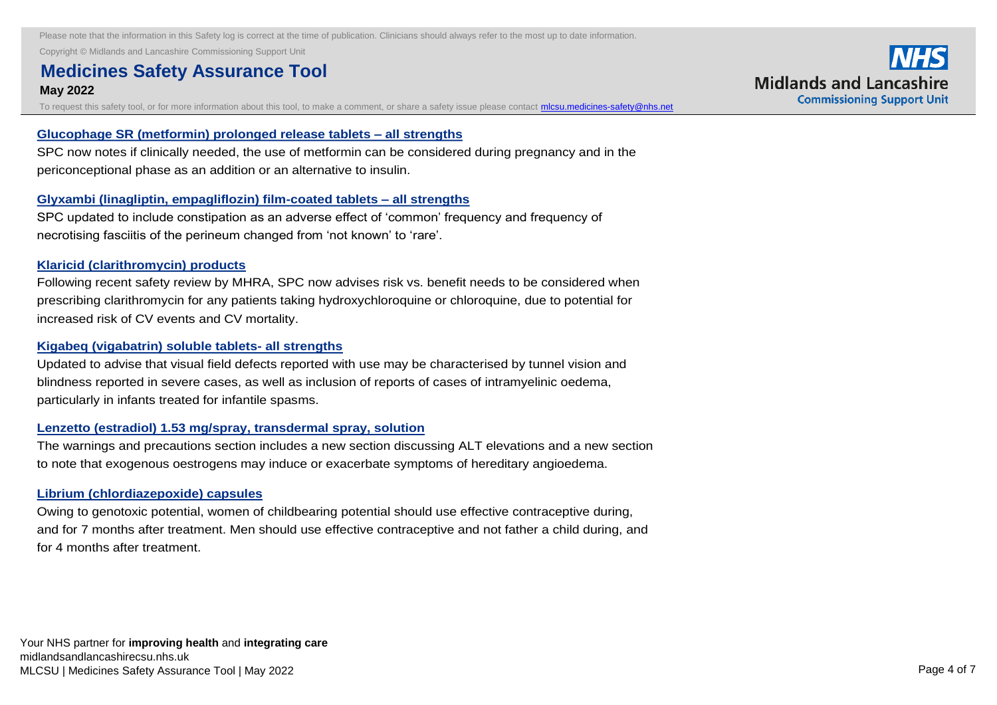Copyright © Midlands and Lancashire Commissioning Support Unit

#### **Medicines Safety Assurance Tool and the cover new indication of the 2 diabetes mellitus in children aged 10 years and 2 diabetes mellitus in children aged 10 years and 2 diabetes mellitus in children aged 10 years and 2 y May 2022** above and corresponding information for possible information, safety profile observation, safety profile observ

To request this safety tool, or for more information about this tool, to make a comment, or share a safety issue please contact *micsu.medicines-safety@nhs.net* 

#### **Glucophage SR (metformin) prolonged release tablets – all strengths**

SPC now notes [if clinically needed, the use of metformin can be considered during pregnancy and in the](https://nice.us8.list-manage.com/track/click?u=7864f766b10b8edd18f19aa56&id=08b21d8c78&e=bb4189a0f3)  periconceptional phase as an addition or an alternative to insulin.

#### **Glyxambi (linagliptin, empagliflozin) film-coated tablets – all strengths**

[SPC updated to include constipation as an adverse effect of 'common' frequency and frequency of](https://nice.us8.list-manage.com/track/click?u=7864f766b10b8edd18f19aa56&id=ecb38bf82d&e=bb4189a0f3)  necrotising fasciitis of the perineum changed from 'not known' to 'rare'.

#### **Klaricid (clarithromycin) products**

[Following recent safety review by MHRA, SPC now advises risk vs. benefit needs to be considered when](https://nice.us8.list-manage.com/track/click?u=7864f766b10b8edd18f19aa56&id=eefb84e17b&e=bb4189a0f3)  prescribing clarithromycin for any patients taking hydroxychloroquine or chloroquine, due to potential for increased risk of CV events and CV mortality.

#### **Kigabeq (vigabatrin) soluble tablets- all strengths**

[Updated to advise that visual field defects reported with use may be characterised by tunnel vision and](https://nice.us8.list-manage.com/track/click?u=7864f766b10b8edd18f19aa56&id=dd5b00ba36&e=bb4189a0f3)  blindness reported in severe cases, as well as inclusion of reports of cases of intramyelinic oedema, particularly in infants treated for infantile spasms.

#### **Lenzetto (estradiol) 1.53 mg/spray, transdermal spray, solution**

[The warnings and precautions section includes a new section discussing ALT elevations and a new section](https://nice.us8.list-manage.com/track/click?u=7864f766b10b8edd18f19aa56&id=c227f0dd71&e=bb4189a0f3)  to note that exogenous oestrogens may induce or exacerbate symptoms of hereditary angioedema.

#### **Librium (chlordiazepoxide) capsules**

Owing to genotoxic potential, women of childbearing potential should use effective contraceptive during, [and for 7 months after treatment. Men should use effective contraceptive and not father a child during, and](https://nice.us8.list-manage.com/track/click?u=7864f766b10b8edd18f19aa56&id=c0d3c63e8a&e=bb4189a0f3)  for 4 months after treatment.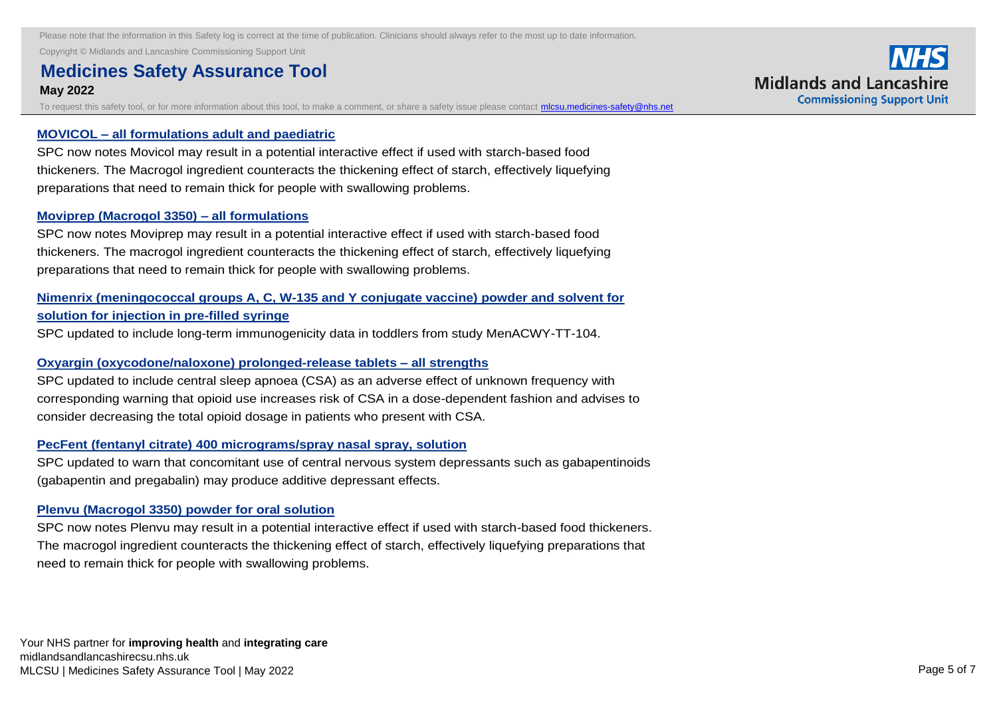Copyright © Midlands and Lancashire Commissioning Support Unit **Librium (chlordiazepoxide) capsules** 

#### **Medicines Safety Assurance Tool and children of childbearing potential should use effective contract of child May 2022** and for 7 months after treatment. Men should use effective contractive and not father and not father a child during, and not father a child during, and not father a child during, and not father a child during, and and not

To request this safety tool, or for more information about this tool, to make a comment, or share a safety issue please contact *micsu.medicines-safety@nhs.net* 

### **MOVICOL – all formulations adult and paediatric**

SPC now notes Movicol may result in a potential interactive effect if used with starch-based food [thickeners. The Macrogol ingredient counteracts the thickening effect of starch, effectively liquefying](https://nice.us8.list-manage.com/track/click?u=7864f766b10b8edd18f19aa56&id=b1553aca5a&e=bb4189a0f3)  preparations that need to remain thick for people with swallowing problems.

### **Moviprep (Macrogol 3350) – all formulations**

SPC now notes Moviprep may result in a potential interactive effect if used with starch-based food [thickeners. The macrogol ingredient counteracts the thickening effect of starch, effectively liquefying](https://nice.us8.list-manage.com/track/click?u=7864f766b10b8edd18f19aa56&id=59e204a915&e=bb4189a0f3)  preparations that need to remain thick for people with swallowing problems.

## **[Nimenrix \(meningococcal groups A, C, W-135 and Y conjugate vaccine\) powder and solvent for](https://nice.us8.list-manage.com/track/click?u=7864f766b10b8edd18f19aa56&id=655f8aca8c&e=bb4189a0f3)  solution for injection in pre-filled syringe**

SPC updated to include long-term immunogenicity data in toddlers from study MenACWY-TT-104.

#### **Oxyargin (oxycodone/naloxone) prolonged-release tablets – all strengths**

SPC updated to include central sleep apnoea (CSA) as an adverse effect of unknown frequency with [corresponding warning that opioid use increases risk of CSA in a dose-dependent fashion and advises to](https://nice.us8.list-manage.com/track/click?u=7864f766b10b8edd18f19aa56&id=1da0161d15&e=bb4189a0f3)  consider decreasing the total opioid dosage in patients who present with CSA.

#### **PecFent (fentanyl citrate) 400 micrograms/spray nasal spray, solution**

[SPC updated to warn that concomitant use of central nervous system depressants such as gabapentinoids](https://nice.us8.list-manage.com/track/click?u=7864f766b10b8edd18f19aa56&id=d3b5dfbe6c&e=bb4189a0f3)  (gabapentin and pregabalin) may produce additive depressant effects.

#### **Plenvu (Macrogol 3350) powder for oral solution**

[SPC now notes Plenvu may result in a potential interactive effect if used with starch-based food thickeners.](https://nice.us8.list-manage.com/track/click?u=7864f766b10b8edd18f19aa56&id=b4f1055a4c&e=bb4189a0f3)  The macrogol ingredient counteracts the thickening effect of starch, effectively liquefying preparations that need to remain thick for people with swallowing problems.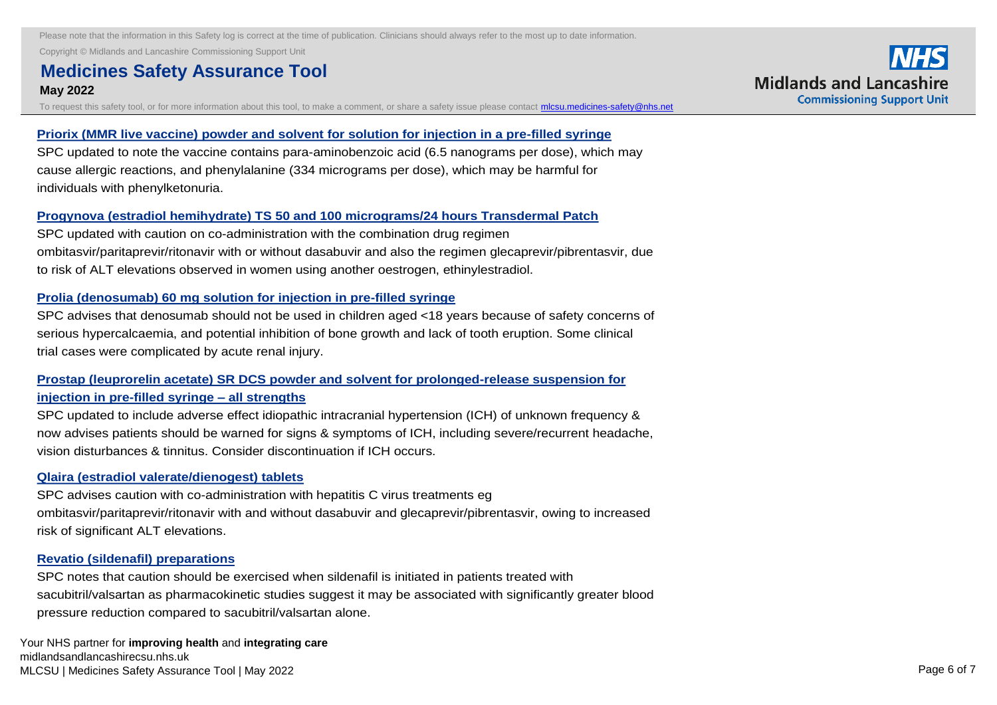Copyright © Midlands and Lancashire Commissioning Support Unit

#### **Medicines Safety Assurance Tool and the potential interactive effect in a potential interactive effect in a potential interactive effect in a potential interactive effect in a potential interactive effect in a potential i May 2022**  $T$ macrogol ingredient counteracts the thickening effect of starch, effectively liquefying preparations that  $T$

To request this safety tool, or for more information about this tool, to make a comment, or share a safety issue please contact *micsu.medicines-safety@nhs.net* 

#### **Priorix (MMR live vaccine) powder and solvent for solution for injection in a pre-filled syringe**

[SPC updated to note the vaccine contains para-aminobenzoic acid \(6.5 nanograms per dose\), which may](https://nice.us8.list-manage.com/track/click?u=7864f766b10b8edd18f19aa56&id=227411e813&e=bb4189a0f3)  cause allergic reactions, and phenylalanine (334 micrograms per dose), which may be harmful for individuals with phenylketonuria.

### **Progynova (estradiol hemihydrate) TS 50 and 100 micrograms/24 hours Transdermal Patch**

SPC updated with caution on co-administration with the combination drug regimen [ombitasvir/paritaprevir/ritonavir with or without dasabuvir and also the regimen glecaprevir/pibrentasvir, due](https://nice.us8.list-manage.com/track/click?u=7864f766b10b8edd18f19aa56&id=df4e5e0401&e=bb4189a0f3)  to risk of ALT elevations observed in women using another oestrogen, ethinylestradiol.

#### **Prolia (denosumab) 60 mg solution for injection in pre-filled syringe**

[SPC advises that denosumab should not be used in children aged <18 years because of safety concerns of](https://nice.us8.list-manage.com/track/click?u=7864f766b10b8edd18f19aa56&id=c73b3df2bf&e=bb4189a0f3)  serious hypercalcaemia, and potential inhibition of bone growth and lack of tooth eruption. Some clinical trial cases were complicated by acute renal injury.

## **Prostap (leuprorelin acetate) SR DCS powder and solvent for prolonged-release suspension for injection in pre-filled syringe – all strengths**

[SPC updated to include adverse effect idiopathic intracranial hypertension \(ICH\) of unknown frequency &](https://nice.us8.list-manage.com/track/click?u=7864f766b10b8edd18f19aa56&id=a583a5b5a8&e=bb4189a0f3)  now advises patients should be warned for signs & symptoms of ICH, including severe/recurrent headache, vision disturbances & tinnitus. Consider discontinuation if ICH occurs.

#### **Qlaira (estradiol valerate/dienogest) tablets**

SPC advises caution with co-administration with hepatitis C virus treatments eg [ombitasvir/paritaprevir/ritonavir with and without dasabuvir and glecaprevir/pibrentasvir, owing to increased](https://nice.us8.list-manage.com/track/click?u=7864f766b10b8edd18f19aa56&id=ea7913099c&e=bb4189a0f3)  risk of significant ALT elevations.

### **Revatio (sildenafil) preparations**

SPC notes that caution should be exercised when sildenafil is initiated in patients treated with [sacubitril/valsartan as pharmacokinetic studies suggest it may be associated with significantly greater blood](https://nice.us8.list-manage.com/track/click?u=7864f766b10b8edd18f19aa56&id=66d3f173cc&e=bb4189a0f3)  pressure reduction compared to sacubitril/valsartan alone.